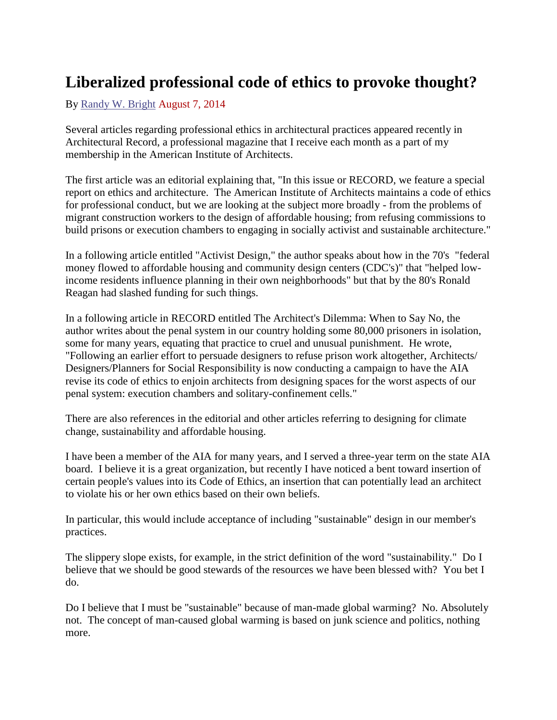## **Liberalized professional code of ethics to provoke thought?**

## By [Randy W. Bright](http://www.tulsabeacon.com/author/slug-o6yd1v) August 7, 2014

Several articles regarding professional ethics in architectural practices appeared recently in Architectural Record, a professional magazine that I receive each month as a part of my membership in the American Institute of Architects.

The first article was an editorial explaining that, "In this issue or RECORD, we feature a special report on ethics and architecture. The American Institute of Architects maintains a code of ethics for professional conduct, but we are looking at the subject more broadly - from the problems of migrant construction workers to the design of affordable housing; from refusing commissions to build prisons or execution chambers to engaging in socially activist and sustainable architecture."

In a following article entitled "Activist Design," the author speaks about how in the 70's "federal money flowed to affordable housing and community design centers (CDC's)" that "helped lowincome residents influence planning in their own neighborhoods" but that by the 80's Ronald Reagan had slashed funding for such things.

In a following article in RECORD entitled The Architect's Dilemma: When to Say No, the author writes about the penal system in our country holding some 80,000 prisoners in isolation, some for many years, equating that practice to cruel and unusual punishment. He wrote, "Following an earlier effort to persuade designers to refuse prison work altogether, Architects/ Designers/Planners for Social Responsibility is now conducting a campaign to have the AIA revise its code of ethics to enjoin architects from designing spaces for the worst aspects of our penal system: execution chambers and solitary-confinement cells."

There are also references in the editorial and other articles referring to designing for climate change, sustainability and affordable housing.

I have been a member of the AIA for many years, and I served a three-year term on the state AIA board. I believe it is a great organization, but recently I have noticed a bent toward insertion of certain people's values into its Code of Ethics, an insertion that can potentially lead an architect to violate his or her own ethics based on their own beliefs.

In particular, this would include acceptance of including "sustainable" design in our member's practices.

The slippery slope exists, for example, in the strict definition of the word "sustainability." Do I believe that we should be good stewards of the resources we have been blessed with? You bet I do.

Do I believe that I must be "sustainable" because of man-made global warming? No. Absolutely not. The concept of man-caused global warming is based on junk science and politics, nothing more.